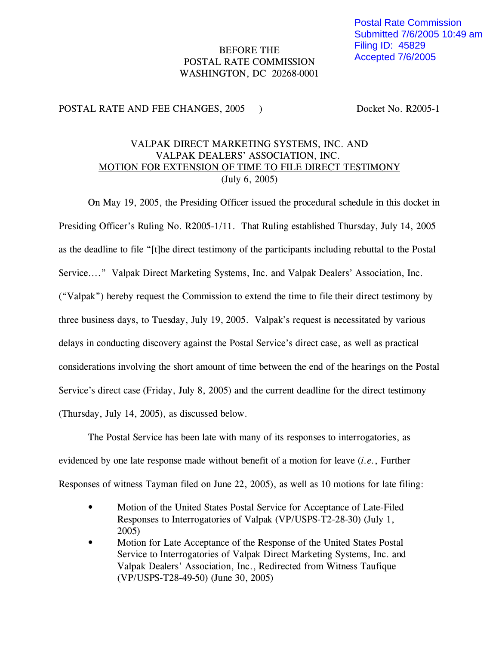## BEFORE THE POSTAL RATE COMMISSION WASHINGTON, DC 20268-0001

## POSTAL RATE AND FEE CHANGES, 2005 ) Docket No. R2005-1

## VALPAK DIRECT MARKETING SYSTEMS, INC. AND VALPAK DEALERS' ASSOCIATION, INC. MOTION FOR EXTENSION OF TIME TO FILE DIRECT TESTIMONY (July 6, 2005)

On May 19, 2005, the Presiding Officer issued the procedural schedule in this docket in Presiding Officer's Ruling No. R2005-1/11. That Ruling established Thursday, July 14, 2005 as the deadline to file "[t]he direct testimony of the participants including rebuttal to the Postal Service...." Valpak Direct Marketing Systems, Inc. and Valpak Dealers' Association, Inc. ("Valpak") hereby request the Commission to extend the time to file their direct testimony by three business days, to Tuesday, July 19, 2005. Valpak's request is necessitated by various delays in conducting discovery against the Postal Service's direct case, as well as practical considerations involving the short amount of time between the end of the hearings on the Postal Service's direct case (Friday, July 8, 2005) and the current deadline for the direct testimony (Thursday, July 14, 2005), as discussed below.

The Postal Service has been late with many of its responses to interrogatories, as evidenced by one late response made without benefit of a motion for leave (*i.e.*, Further Responses of witness Tayman filed on June 22, 2005), as well as 10 motions for late filing:

- Motion of the United States Postal Service for Acceptance of Late-Filed Responses to Interrogatories of Valpak (VP/USPS-T2-28-30) (July 1, 2005)
- Motion for Late Acceptance of the Response of the United States Postal Service to Interrogatories of Valpak Direct Marketing Systems, Inc. and Valpak Dealers' Association, Inc., Redirected from Witness Taufique (VP/USPS-T28-49-50) (June 30, 2005)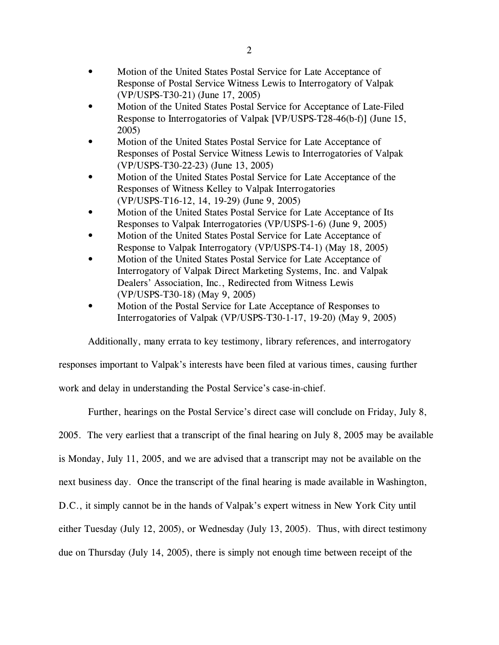- Motion of the United States Postal Service for Late Acceptance of Response of Postal Service Witness Lewis to Interrogatory of Valpak (VP/USPS-T30-21) (June 17, 2005)
- Motion of the United States Postal Service for Acceptance of Late-Filed Response to Interrogatories of Valpak [VP/USPS-T28-46(b-f)] (June 15, 2005)
- Motion of the United States Postal Service for Late Acceptance of Responses of Postal Service Witness Lewis to Interrogatories of Valpak (VP/USPS-T30-22-23) (June 13, 2005)
- Motion of the United States Postal Service for Late Acceptance of the Responses of Witness Kelley to Valpak Interrogatories (VP/USPS-T16-12, 14, 19-29) (June 9, 2005)
- Motion of the United States Postal Service for Late Acceptance of Its Responses to Valpak Interrogatories (VP/USPS-1-6) (June 9, 2005)
- Motion of the United States Postal Service for Late Acceptance of Response to Valpak Interrogatory (VP/USPS-T4-1) (May 18, 2005)
- Motion of the United States Postal Service for Late Acceptance of Interrogatory of Valpak Direct Marketing Systems, Inc. and Valpak Dealers' Association, Inc., Redirected from Witness Lewis (VP/USPS-T30-18) (May 9, 2005)
- Motion of the Postal Service for Late Acceptance of Responses to Interrogatories of Valpak (VP/USPS-T30-1-17, 19-20) (May 9, 2005)

Additionally, many errata to key testimony, library references, and interrogatory

responses important to Valpak's interests have been filed at various times, causing further

work and delay in understanding the Postal Service's case-in-chief.

Further, hearings on the Postal Service's direct case will conclude on Friday, July 8,

2005. The very earliest that a transcript of the final hearing on July 8, 2005 may be available

is Monday, July 11, 2005, and we are advised that a transcript may not be available on the

next business day. Once the transcript of the final hearing is made available in Washington,

D.C., it simply cannot be in the hands of Valpak's expert witness in New York City until

either Tuesday (July 12, 2005), or Wednesday (July 13, 2005). Thus, with direct testimony

due on Thursday (July 14, 2005), there is simply not enough time between receipt of the